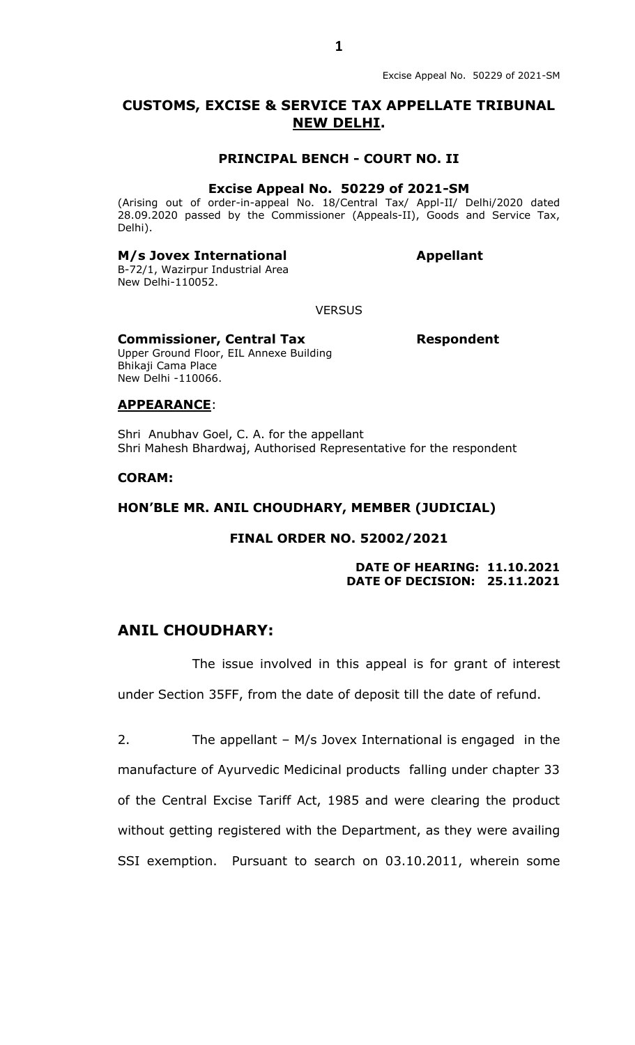# **CUSTOMS, EXCISE & SERVICE TAX APPELLATE TRIBUNAL NEW DELHI.**

### **PRINCIPAL BENCH - COURT NO. II**

#### **Excise Appeal No. 50229 of 2021-SM**

(Arising out of order-in-appeal No. 18/Central Tax/ Appl-II/ Delhi/2020 dated 28.09.2020 passed by the Commissioner (Appeals-II), Goods and Service Tax, Delhi).

## **M/s Jovex International** *Appellant*

B-72/1, Wazirpur Industrial Area New Delhi-110052.

**VERSUS** 

#### **Commissioner, Central Tax Respondent**

Upper Ground Floor, EIL Annexe Building Bhikaji Cama Place New Delhi -110066.

#### **APPEARANCE**:

Shri Anubhav Goel, C. A. for the appellant Shri Mahesh Bhardwaj, Authorised Representative for the respondent

#### **CORAM:**

#### **HON'BLE MR. ANIL CHOUDHARY, MEMBER (JUDICIAL)**

### **FINAL ORDER NO. 52002/2021**

**DATE OF HEARING: 11.10.2021 DATE OF DECISION: 25.11.2021**

# **ANIL CHOUDHARY:**

The issue involved in this appeal is for grant of interest under Section 35FF, from the date of deposit till the date of refund.

2. The appellant – M/s Jovex International is engaged in the manufacture of Ayurvedic Medicinal products falling under chapter 33 of the Central Excise Tariff Act, 1985 and were clearing the product without getting registered with the Department, as they were availing SSI exemption. Pursuant to search on 03.10.2011, wherein some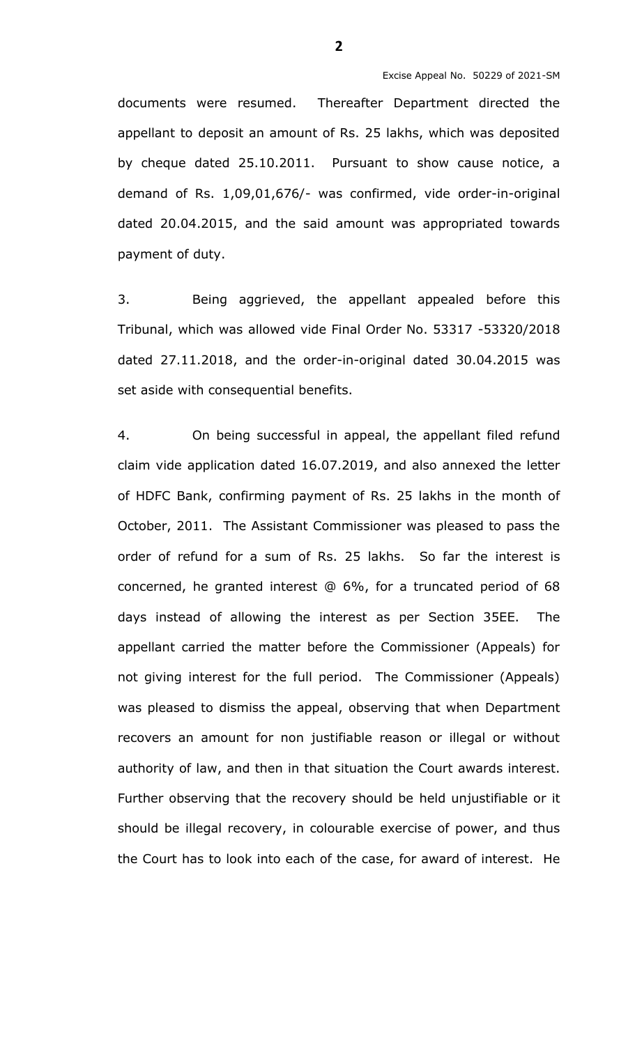documents were resumed. Thereafter Department directed the appellant to deposit an amount of Rs. 25 lakhs, which was deposited by cheque dated 25.10.2011. Pursuant to show cause notice, a demand of Rs. 1,09,01,676/- was confirmed, vide order-in-original dated 20.04.2015, and the said amount was appropriated towards payment of duty.

3. Being aggrieved, the appellant appealed before this Tribunal, which was allowed vide Final Order No. 53317 -53320/2018 dated 27.11.2018, and the order-in-original dated 30.04.2015 was set aside with consequential benefits.

4. On being successful in appeal, the appellant filed refund claim vide application dated 16.07.2019, and also annexed the letter of HDFC Bank, confirming payment of Rs. 25 lakhs in the month of October, 2011. The Assistant Commissioner was pleased to pass the order of refund for a sum of Rs. 25 lakhs. So far the interest is concerned, he granted interest @ 6%, for a truncated period of 68 days instead of allowing the interest as per Section 35EE. The appellant carried the matter before the Commissioner (Appeals) for not giving interest for the full period. The Commissioner (Appeals) was pleased to dismiss the appeal, observing that when Department recovers an amount for non justifiable reason or illegal or without authority of law, and then in that situation the Court awards interest. Further observing that the recovery should be held unjustifiable or it should be illegal recovery, in colourable exercise of power, and thus the Court has to look into each of the case, for award of interest. He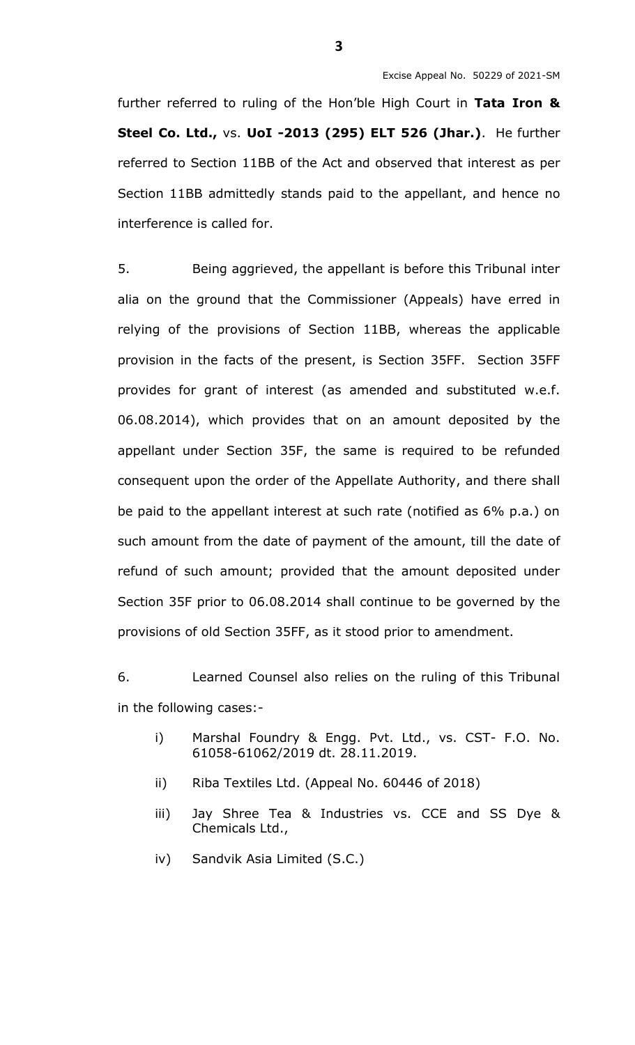further referred to ruling of the Hon'ble High Court in **Tata Iron & Steel Co. Ltd.,** vs. **UoI -2013 (295) ELT 526 (Jhar.)**. He further referred to Section 11BB of the Act and observed that interest as per Section 11BB admittedly stands paid to the appellant, and hence no interference is called for.

5. Being aggrieved, the appellant is before this Tribunal inter alia on the ground that the Commissioner (Appeals) have erred in relying of the provisions of Section 11BB, whereas the applicable provision in the facts of the present, is Section 35FF. Section 35FF provides for grant of interest (as amended and substituted w.e.f. 06.08.2014), which provides that on an amount deposited by the appellant under Section 35F, the same is required to be refunded consequent upon the order of the Appellate Authority, and there shall be paid to the appellant interest at such rate (notified as 6% p.a.) on such amount from the date of payment of the amount, till the date of refund of such amount; provided that the amount deposited under Section 35F prior to 06.08.2014 shall continue to be governed by the provisions of old Section 35FF, as it stood prior to amendment.

6. Learned Counsel also relies on the ruling of this Tribunal in the following cases:-

- i) Marshal Foundry & Engg. Pvt. Ltd., vs. CST- F.O. No. 61058-61062/2019 dt. 28.11.2019.
- ii) Riba Textiles Ltd. (Appeal No. 60446 of 2018)
- iii) Jay Shree Tea & Industries vs. CCE and SS Dye & Chemicals Ltd.,
- iv) Sandvik Asia Limited (S.C.)

**3**